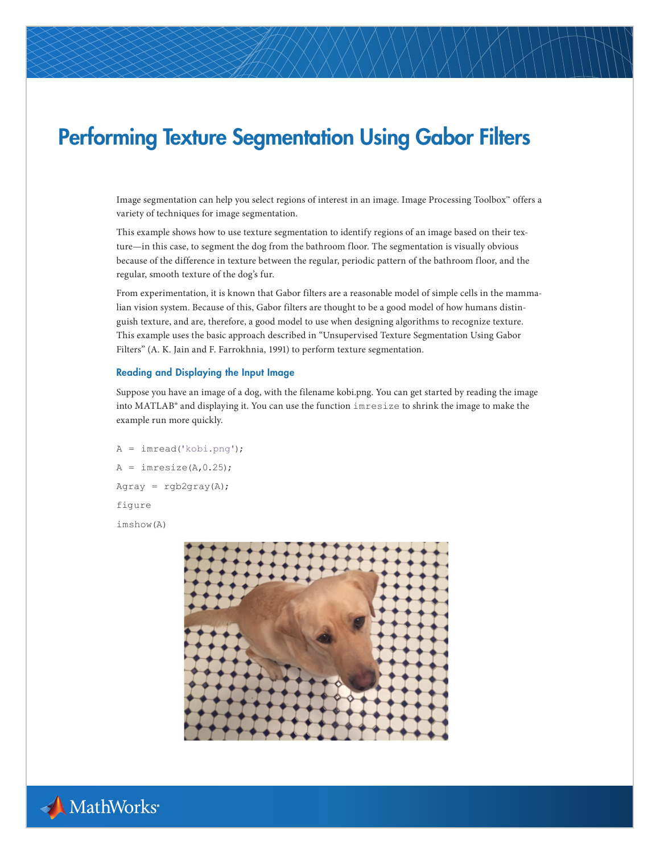# Performing Texture Segmentation Using Gabor Filters

Image segmentation can help you select regions of interest in an image. Image Processing Toolbox™ offers a variety of techniques for image segmentation.

This example shows how to use texture segmentation to identify regions of an image based on their texture—in this case, to segment the dog from the bathroom floor. The segmentation is visually obvious because of the difference in texture between the regular, periodic pattern of the bathroom floor, and the regular, smooth texture of the dog's fur.

From experimentation, it is known that Gabor filters are a reasonable model of simple cells in the mammalian vision system. Because of this, Gabor filters are thought to be a good model of how humans distinguish texture, and are, therefore, a good model to use when designing algorithms to recognize texture. This example uses the basic approach described in "Unsupervised Texture Segmentation Using Gabor Filters" (A. K. Jain and F. Farrokhnia, 1991) to perform texture segmentation.

### Reading and Displaying the Input Image

Suppose you have an image of a dog, with the filename kobi.png. You can get started by reading the image into MATLAB® and displaying it. You can use the function imresize to shrink the image to make the example run more quickly.

A = imread('kobi.png');  $A = \text{imresize}(A, 0.25);$ Agray =  $\text{rgb2gray(A)}$ ; figure imshow(A)



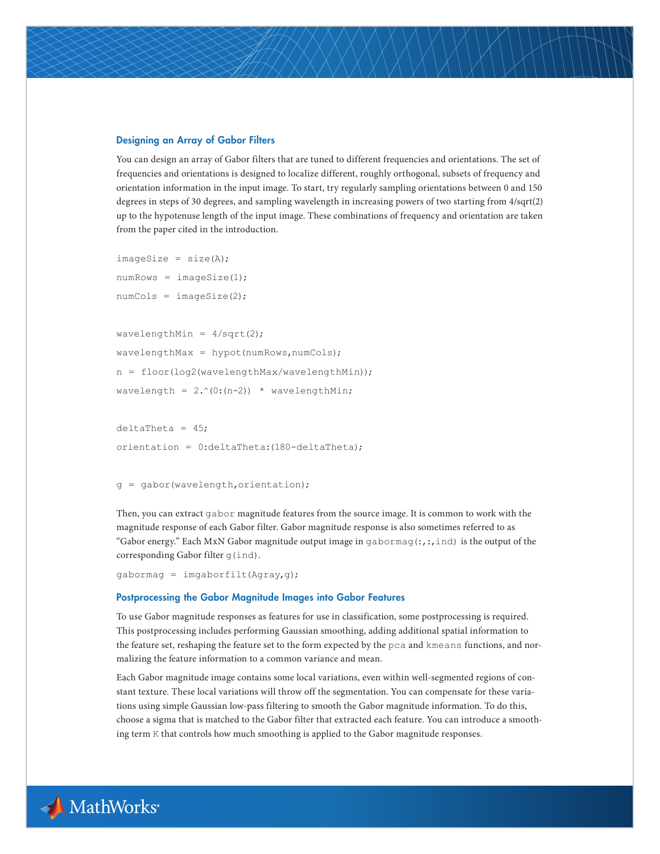#### Designing an Array of Gabor Filters

You can design an array of Gabor filters that are tuned to different frequencies and orientations. The set of frequencies and orientations is designed to localize different, roughly orthogonal, subsets of frequency and orientation information in the input image. To start, try regularly sampling orientations between 0 and 150 degrees in steps of 30 degrees, and sampling wavelength in increasing powers of two starting from 4/sqrt(2) up to the hypotenuse length of the input image. These combinations of frequency and orientation are taken from the paper cited in the introduction.

```
imageSize = size(A);numRows = imageSize(1);numCols = imageSize(2);wavelengthMin = 4/\text{sqrt}(2);
wavelengthMax = hypot(numRows, numCols);n = floor(log2(wavelengthMax/wavelengthMin));
wavelength = 2 \cdot (0:(n-2)) * wavelengthMin;
```

```
delta = 45;
orientation = 0:deltaTheta:(180-deltaTheta);
```

```
g = gabor(wavelength,orientation);
```
Then, you can extract gabor magnitude features from the source image. It is common to work with the magnitude response of each Gabor filter. Gabor magnitude response is also sometimes referred to as "Gabor energy." Each MxN Gabor magnitude output image in gabor mag $(:,,:,ind)$  is the output of the corresponding Gabor filter g(ind).

```
gabormag = imgaborfilt(Agray, g);
```
#### Postprocessing the Gabor Magnitude Images into Gabor Features

To use Gabor magnitude responses as features for use in classification, some postprocessing is required. This postprocessing includes performing Gaussian smoothing, adding additional spatial information to the feature set, reshaping the feature set to the form expected by the pca and kmeans functions, and normalizing the feature information to a common variance and mean.

Each Gabor magnitude image contains some local variations, even within well-segmented regions of constant texture. These local variations will throw off the segmentation. You can compensate for these variations using simple Gaussian low-pass filtering to smooth the Gabor magnitude information. To do this, choose a sigma that is matched to the Gabor filter that extracted each feature. You can introduce a smoothing term K that controls how much smoothing is applied to the Gabor magnitude responses.

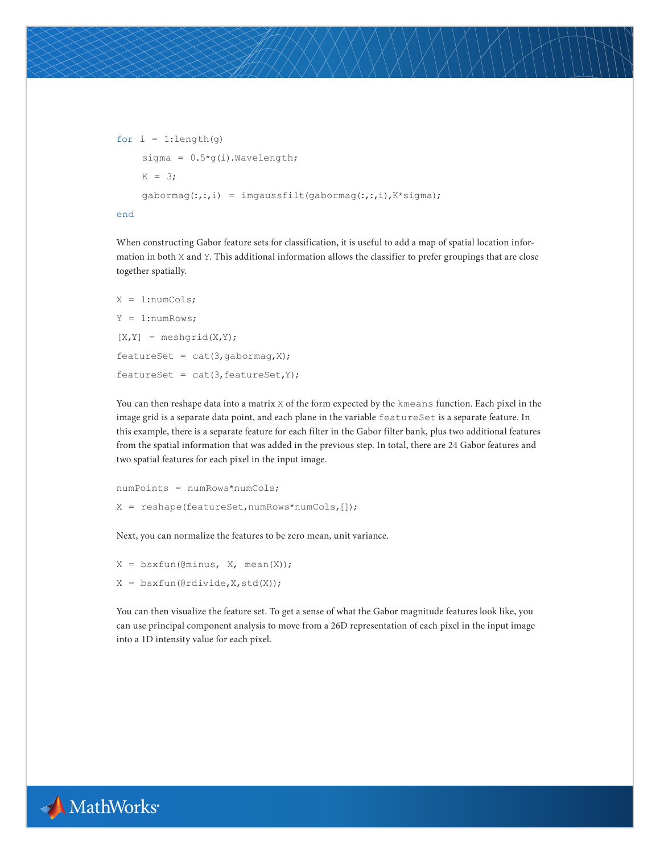```
for i = 1:length(q)
     sigma = 0.5 \times g(i). Wavelength;
    K = 3; gabormag(:,:,i) = imgaussfilt(gabormag(:,:,i),K*sigma);
end
```
When constructing Gabor feature sets for classification, it is useful to add a map of spatial location information in both X and Y. This additional information allows the classifier to prefer groupings that are close together spatially.

```
X = 1:numCols;
Y = 1:numRows;
[X,Y] = meshgrid(X,Y);
featureSet = cat(3, gabormag,X);featureSet = cat(3, featureSet, Y);
```
You can then reshape data into a matrix X of the form expected by the kmeans function. Each pixel in the image grid is a separate data point, and each plane in the variable featureSet is a separate feature. In this example, there is a separate feature for each filter in the Gabor filter bank, plus two additional features from the spatial information that was added in the previous step. In total, there are 24 Gabor features and two spatial features for each pixel in the input image.

```
numPoints = numRows*numCols;
X = reshape(featureSet,numRows*numCols,[]);
```
Next, you can normalize the features to be zero mean, unit variance.

 $X = b$ sxfun(@minus, X, mean(X));

```
X = bsxfun(@rdivide, X, std(X));
```
You can then visualize the feature set. To get a sense of what the Gabor magnitude features look like, you can use principal component analysis to move from a 26D representation of each pixel in the input image into a 1D intensity value for each pixel.

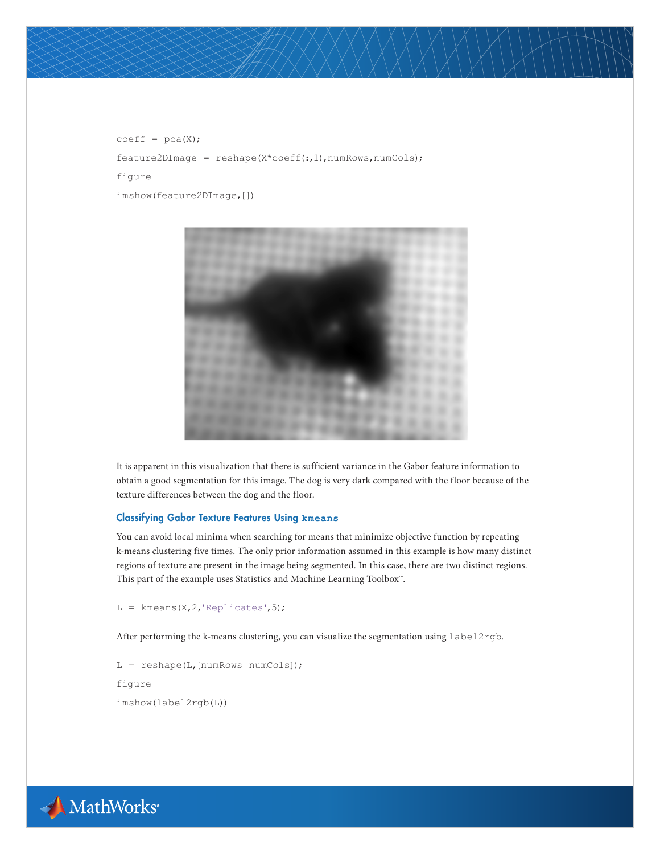$coeff = pca(X);$ 

feature2DImage = reshape(X\*coeff(:,1),numRows,numCols);

figure

imshow(feature2DImage,[])



It is apparent in this visualization that there is sufficient variance in the Gabor feature information to obtain a good segmentation for this image. The dog is very dark compared with the floor because of the texture differences between the dog and the floor.

#### Classifying Gabor Texture Features Using **kmeans**

You can avoid local minima when searching for means that minimize objective function by repeating k-means clustering five times. The only prior information assumed in this example is how many distinct regions of texture are present in the image being segmented. In this case, there are two distinct regions. This part of the example uses Statistics and Machine Learning Toolbox™.

 $L =$  kmeans(X,2,'Replicates',5);

After performing the k-means clustering, you can visualize the segmentation using label2rgb.

 $L =$  reshape(L, [numRows numCols]); figure imshow(label2rgb(L))

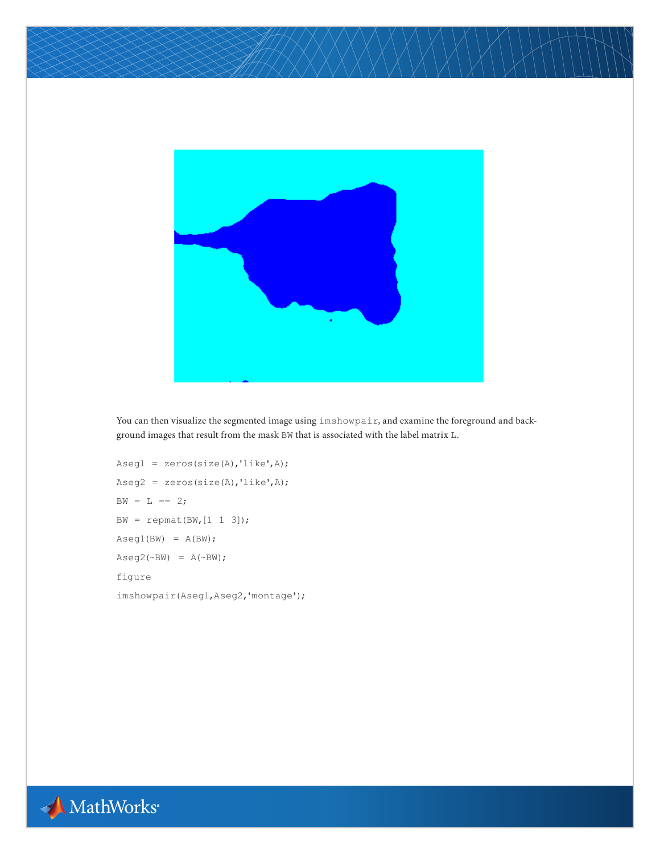

You can then visualize the segmented image using imshowpair, and examine the foreground and background images that result from the mask BW that is associated with the label matrix L.

```
Aseg1 = zeros(size(A),'like',A);
Aseg2 = zeros(size(A), 'like', A);BW = L == 2;BW = repmat(BW,[1 1 3]);
Aseq1(BW) = A(BW);Aseq2(\sim BW) = A(\sim BW);
figure
imshowpair(Aseg1,Aseg2,'montage');
```